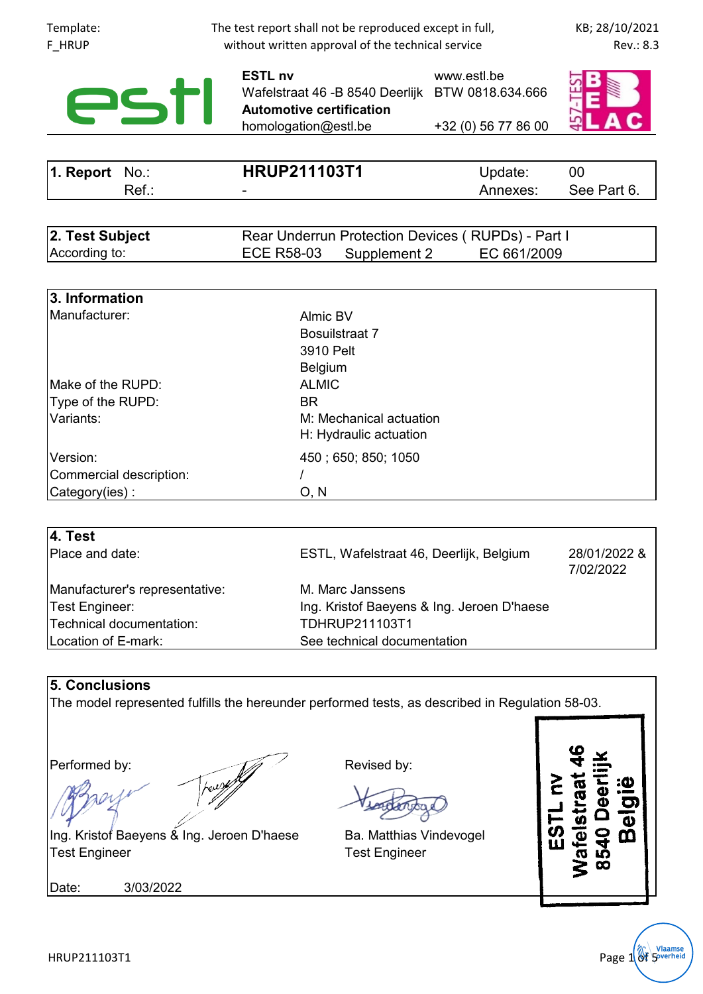| Template:<br>F_HRUP                                                | The test report shall not be reproduced except in full,<br>without written approval of the technical service                   |                                    |                           |  |
|--------------------------------------------------------------------|--------------------------------------------------------------------------------------------------------------------------------|------------------------------------|---------------------------|--|
| <b>PST</b>                                                         | <b>ESTL nv</b><br>Wafelstraat 46 - B 8540 Deerlijk BTW 0818.634.666<br><b>Automotive certification</b><br>homologation@estl.be | www.estl.be<br>+32 (0) 56 77 86 00 |                           |  |
|                                                                    |                                                                                                                                |                                    |                           |  |
| 1. Report<br>$No.$ :                                               | <b>HRUP211103T1</b>                                                                                                            | Update:                            | 00                        |  |
| $Ref.$ :                                                           |                                                                                                                                | Annexes:                           | See Part 6.               |  |
| 2. Test Subject<br>According to:                                   | Rear Underrun Protection Devices (RUPDs) - Part I<br><b>ECE R58-03</b><br>Supplement 2                                         | EC 661/2009                        |                           |  |
|                                                                    |                                                                                                                                |                                    |                           |  |
| 3. Information<br>Manufacturer:                                    | Almic BV<br>Bosuilstraat 7<br>3910 Pelt<br><b>Belgium</b>                                                                      |                                    |                           |  |
| Make of the RUPD:                                                  | <b>ALMIC</b>                                                                                                                   |                                    |                           |  |
| Type of the RUPD:                                                  | <b>BR</b>                                                                                                                      |                                    |                           |  |
| Variants:                                                          | M: Mechanical actuation<br>H: Hydraulic actuation                                                                              |                                    |                           |  |
| Version:                                                           | 450; 650; 850; 1050                                                                                                            |                                    |                           |  |
| Commercial description:                                            |                                                                                                                                |                                    |                           |  |
| Category(ies):                                                     | O, N                                                                                                                           |                                    |                           |  |
| 4. Test                                                            |                                                                                                                                |                                    |                           |  |
| Place and date:                                                    | ESTL, Wafelstraat 46, Deerlijk, Belgium                                                                                        |                                    | 28/01/2022 &<br>7/02/2022 |  |
| Manufacturer's representative:                                     | M. Marc Janssens                                                                                                               |                                    |                           |  |
| <b>Test Engineer:</b>                                              | Ing. Kristof Baeyens & Ing. Jeroen D'haese                                                                                     |                                    |                           |  |
| Technical documentation:                                           | TDHRUP211103T1                                                                                                                 |                                    |                           |  |
| Location of E-mark:                                                | See technical documentation                                                                                                    |                                    |                           |  |
| <b>5. Conclusions</b>                                              |                                                                                                                                |                                    |                           |  |
|                                                                    | The model represented fulfills the hereunder performed tests, as described in Regulation 58-03.                                |                                    |                           |  |
|                                                                    |                                                                                                                                |                                    |                           |  |
| Performed by:                                                      | Revised by:                                                                                                                    |                                    |                           |  |
|                                                                    |                                                                                                                                |                                    | Belg                      |  |
| Ing. Kristof Baeyens & Ing. Jeroen D'haese<br><b>Test Engineer</b> | Ba. Matthias Vindevogel<br><b>Test Engineer</b>                                                                                |                                    | 二の山<br>8540D<br>lafelst   |  |
| 3/03/2022<br>Date:                                                 |                                                                                                                                |                                    |                           |  |
|                                                                    |                                                                                                                                |                                    |                           |  |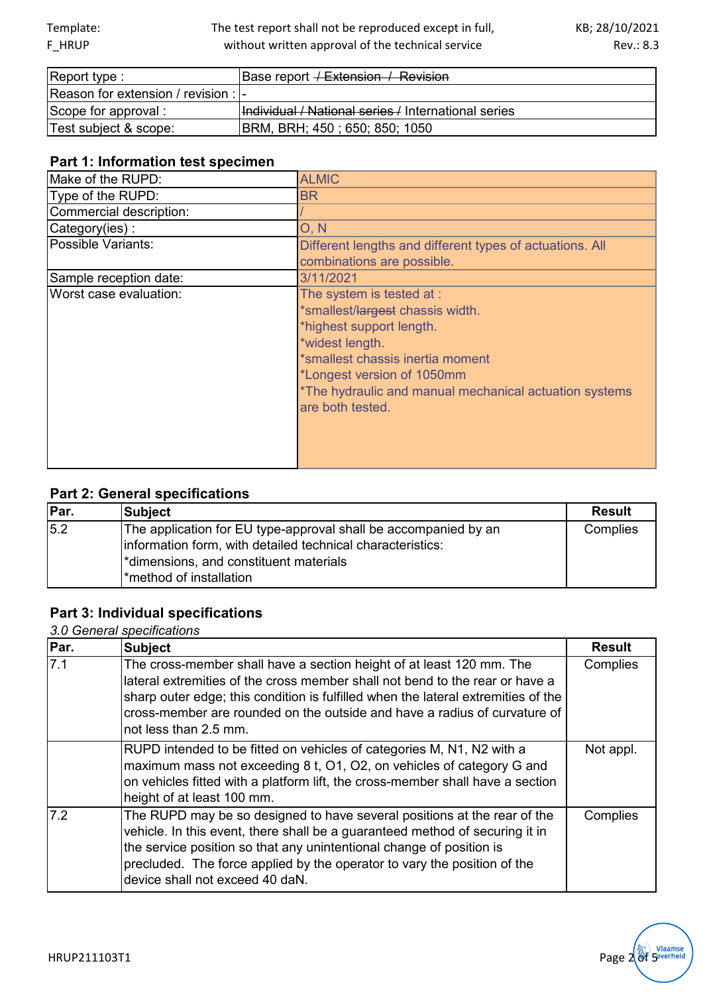## The test report shall not be reproduced except in full, without written approval of the technical service

| Report type :                        | Base report <del>/ Extension / Revision</del>       |
|--------------------------------------|-----------------------------------------------------|
| Reason for extension / revision :  - |                                                     |
| Scope for approval :                 | Individual / National series / International series |
| Test subject & scope:                | BRM, BRH; 450; 650; 850; 1050                       |

## **Part 1: Information test specimen**

| Make of the RUPD:       | <b>ALMIC</b>                                                                                                                                                                                                                                                 |
|-------------------------|--------------------------------------------------------------------------------------------------------------------------------------------------------------------------------------------------------------------------------------------------------------|
| Type of the RUPD:       | <b>BR</b>                                                                                                                                                                                                                                                    |
| Commercial description: |                                                                                                                                                                                                                                                              |
| Category(ies):          | O, N                                                                                                                                                                                                                                                         |
| Possible Variants:      | Different lengths and different types of actuations. All                                                                                                                                                                                                     |
|                         | combinations are possible.                                                                                                                                                                                                                                   |
| Sample reception date:  | 3/11/2021                                                                                                                                                                                                                                                    |
| Worst case evaluation:  | The system is tested at :<br>*smallest/largest chassis width.<br>*highest support length.<br>*widest length.<br>*smallest chassis inertia moment<br>*Longest version of 1050mm<br>*The hydraulic and manual mechanical actuation systems<br>are both tested. |

# **Part 2: General specifications**

| Par. | <b>Subject</b>                                                                                                                                                                                      | <b>Result</b> |
|------|-----------------------------------------------------------------------------------------------------------------------------------------------------------------------------------------------------|---------------|
| 15.2 | The application for EU type-approval shall be accompanied by an<br>information form, with detailed technical characteristics:<br>*dimensions, and constituent materials<br>l*method of installation | Complies      |

# **Part 3: Individual specifications**

*3.0 General specifications*

| Par. | <b>Subject</b>                                                                                                                                                                                                                                                                                                                                  | <b>Result</b> |
|------|-------------------------------------------------------------------------------------------------------------------------------------------------------------------------------------------------------------------------------------------------------------------------------------------------------------------------------------------------|---------------|
| 7.1  | The cross-member shall have a section height of at least 120 mm. The<br>lateral extremities of the cross member shall not bend to the rear or have a<br>sharp outer edge; this condition is fulfilled when the lateral extremities of the<br>cross-member are rounded on the outside and have a radius of curvature of<br>not less than 2.5 mm. | Complies      |
|      | RUPD intended to be fitted on vehicles of categories M, N1, N2 with a<br>maximum mass not exceeding 8 t, O1, O2, on vehicles of category G and<br>on vehicles fitted with a platform lift, the cross-member shall have a section<br>height of at least 100 mm.                                                                                  | Not appl.     |
| 7.2  | The RUPD may be so designed to have several positions at the rear of the<br>vehicle. In this event, there shall be a guaranteed method of securing it in<br>the service position so that any unintentional change of position is<br>precluded. The force applied by the operator to vary the position of the<br>device shall not exceed 40 daN. | Complies      |

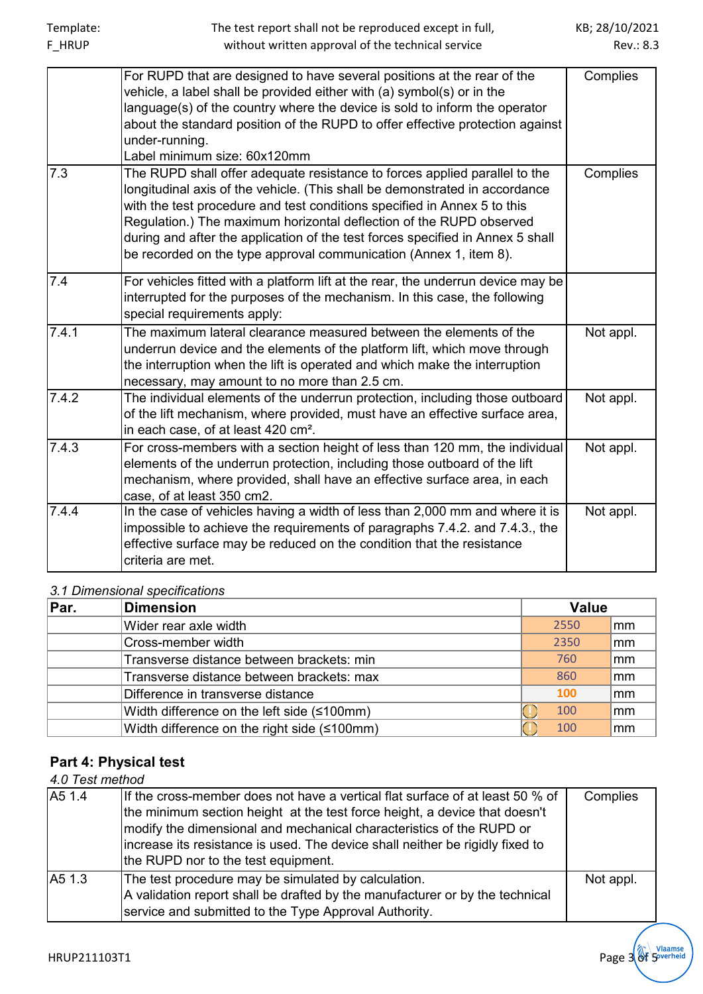|       | For RUPD that are designed to have several positions at the rear of the<br>vehicle, a label shall be provided either with (a) symbol(s) or in the<br>language(s) of the country where the device is sold to inform the operator<br>about the standard position of the RUPD to offer effective protection against<br>under-running.<br>Label minimum size: 60x120mm                                                                                                  | Complies  |
|-------|---------------------------------------------------------------------------------------------------------------------------------------------------------------------------------------------------------------------------------------------------------------------------------------------------------------------------------------------------------------------------------------------------------------------------------------------------------------------|-----------|
| 7.3   | The RUPD shall offer adequate resistance to forces applied parallel to the<br>longitudinal axis of the vehicle. (This shall be demonstrated in accordance<br>with the test procedure and test conditions specified in Annex 5 to this<br>Regulation.) The maximum horizontal deflection of the RUPD observed<br>during and after the application of the test forces specified in Annex 5 shall<br>be recorded on the type approval communication (Annex 1, item 8). | Complies  |
| 7.4   | For vehicles fitted with a platform lift at the rear, the underrun device may be<br>interrupted for the purposes of the mechanism. In this case, the following<br>special requirements apply:                                                                                                                                                                                                                                                                       |           |
| 7.4.1 | The maximum lateral clearance measured between the elements of the<br>underrun device and the elements of the platform lift, which move through<br>the interruption when the lift is operated and which make the interruption<br>necessary, may amount to no more than 2.5 cm.                                                                                                                                                                                      | Not appl. |
| 7.4.2 | The individual elements of the underrun protection, including those outboard<br>of the lift mechanism, where provided, must have an effective surface area,<br>in each case, of at least 420 cm <sup>2</sup> .                                                                                                                                                                                                                                                      | Not appl. |
| 7.4.3 | For cross-members with a section height of less than 120 mm, the individual<br>elements of the underrun protection, including those outboard of the lift<br>mechanism, where provided, shall have an effective surface area, in each<br>case, of at least 350 cm2.                                                                                                                                                                                                  | Not appl. |
| 7.4.4 | In the case of vehicles having a width of less than 2,000 mm and where it is<br>impossible to achieve the requirements of paragraphs 7.4.2. and 7.4.3., the<br>effective surface may be reduced on the condition that the resistance<br>criteria are met.                                                                                                                                                                                                           | Not appl. |

## *3.1 Dimensional specifications*

| Par. | <b>Dimension</b>                            | <b>Value</b> |                        |
|------|---------------------------------------------|--------------|------------------------|
|      | Wider rear axle width                       | 2550         | lmm                    |
|      | Cross-member width                          | 2350         | lmm                    |
|      | Transverse distance between brackets: min   | 760          | lmm                    |
|      | Transverse distance between brackets: max   | 860          | $\mathsf{m}\mathsf{m}$ |
|      | Difference in transverse distance           | 100          | ∣mm                    |
|      | Width difference on the left side (≤100mm)  | 100          | $\mathsf{m}\mathsf{m}$ |
|      | Width difference on the right side (≤100mm) | 100          | ∣mm                    |

# **Part 4: Physical test**

# *4.0 Test method*

| A5 1.4 | If the cross-member does not have a vertical flat surface of at least 50 % of<br>the minimum section height at the test force height, a device that doesn't<br>modify the dimensional and mechanical characteristics of the RUPD or<br>increase its resistance is used. The device shall neither be rigidly fixed to<br>the RUPD nor to the test equipment. | Complies  |
|--------|-------------------------------------------------------------------------------------------------------------------------------------------------------------------------------------------------------------------------------------------------------------------------------------------------------------------------------------------------------------|-----------|
| A5 1.3 | The test procedure may be simulated by calculation.<br>A validation report shall be drafted by the manufacturer or by the technical<br>service and submitted to the Type Approval Authority.                                                                                                                                                                | Not appl. |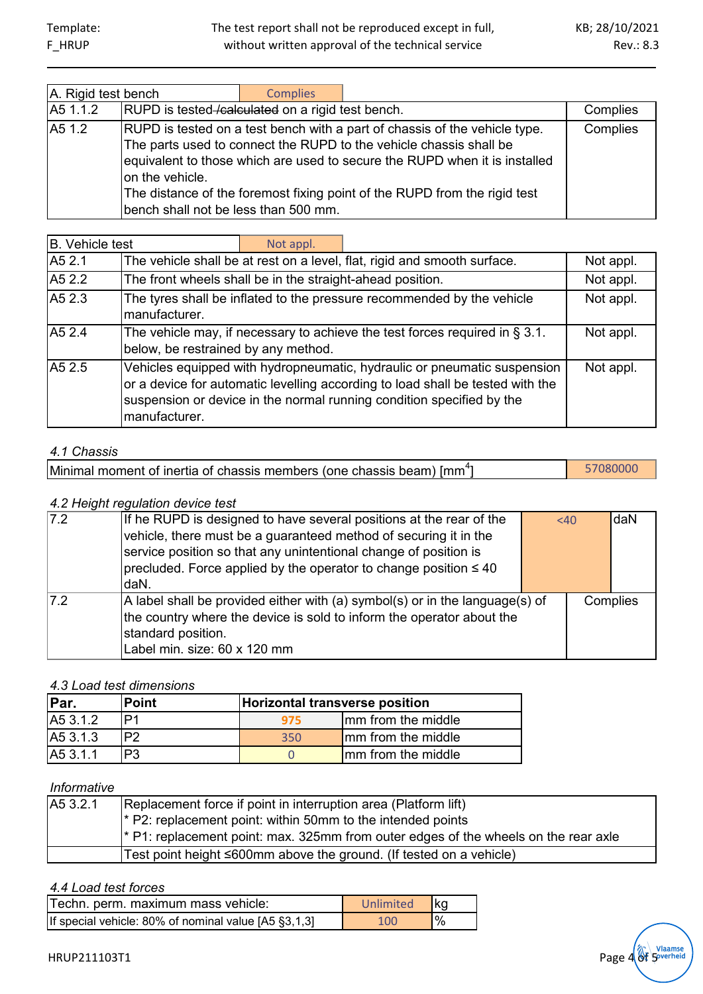| A. Rigid test bench |                                                         | <b>Complies</b> |                                                                                                                                                                                                                                                                                                             |          |
|---------------------|---------------------------------------------------------|-----------------|-------------------------------------------------------------------------------------------------------------------------------------------------------------------------------------------------------------------------------------------------------------------------------------------------------------|----------|
| A5 1.1.2            | RUPD is tested-calculated on a rigid test bench.        |                 |                                                                                                                                                                                                                                                                                                             | Complies |
| A51.2               | on the vehicle.<br>bench shall not be less than 500 mm. |                 | RUPD is tested on a test bench with a part of chassis of the vehicle type.<br>The parts used to connect the RUPD to the vehicle chassis shall be<br>equivalent to those which are used to secure the RUPD when it is installed<br>The distance of the foremost fixing point of the RUPD from the rigid test | Complies |

| B. Vehicle test |                                                                                                                                                                                                                                                      | Not appl. |                                                                          |           |
|-----------------|------------------------------------------------------------------------------------------------------------------------------------------------------------------------------------------------------------------------------------------------------|-----------|--------------------------------------------------------------------------|-----------|
| A5 2.1          |                                                                                                                                                                                                                                                      |           | The vehicle shall be at rest on a level, flat, rigid and smooth surface. | Not appl. |
| A5 2.2          | The front wheels shall be in the straight-ahead position.                                                                                                                                                                                            |           |                                                                          | Not appl. |
| A5 2.3          | The tyres shall be inflated to the pressure recommended by the vehicle<br>manufacturer.                                                                                                                                                              |           |                                                                          | Not appl. |
| A5 2.4          | The vehicle may, if necessary to achieve the test forces required in $\S 3.1$ .<br>below, be restrained by any method.                                                                                                                               |           | Not appl.                                                                |           |
| A5 2.5          | Vehicles equipped with hydropneumatic, hydraulic or pneumatic suspension<br>or a device for automatic levelling according to load shall be tested with the<br>suspension or device in the normal running condition specified by the<br>manufacturer. |           | Not appl.                                                                |           |

#### *4.1 Chassis*

| [Minimal moment of inertia of chassis members (one chassis beam) [mm <sup>4</sup> ] |  | 57080000 |
|-------------------------------------------------------------------------------------|--|----------|
|-------------------------------------------------------------------------------------|--|----------|

#### *4.2 Height regulation device test*

| 7.2 | If he RUPD is designed to have several positions at the rear of the          | < 40 | daN      |
|-----|------------------------------------------------------------------------------|------|----------|
|     | vehicle, there must be a guaranteed method of securing it in the             |      |          |
|     | service position so that any unintentional change of position is             |      |          |
|     | $ precluded.$ Force applied by the operator to change position $\leq 40$     |      |          |
|     | daN.                                                                         |      |          |
| 7.2 | A label shall be provided either with (a) symbol(s) or in the language(s) of |      | Complies |
|     | the country where the device is sold to inform the operator about the        |      |          |
|     | standard position.                                                           |      |          |
|     | Label min. size: 60 x 120 mm                                                 |      |          |

## *4.3 Load test dimensions*

| Par.     | <b>Point</b> | Horizontal transverse position |                     |  |
|----------|--------------|--------------------------------|---------------------|--|
| A5 3.1.2 | D1           | 975.                           | Imm from the middle |  |
| A5 3.1.3 | P?           | 350                            | Imm from the middle |  |
| A5 3.1.1 |              |                                | Imm from the middle |  |

# *Informative*

| A5 3.2.1 | Replacement force if point in interruption area (Platform lift)<br><sup>*</sup> P2: replacement point: within 50mm to the intended points<br><sup>*</sup> P1: replacement point: max. 325mm from outer edges of the wheels on the rear axle |
|----------|---------------------------------------------------------------------------------------------------------------------------------------------------------------------------------------------------------------------------------------------|
|          | Test point height ≤600mm above the ground. (If tested on a vehicle)                                                                                                                                                                         |

#### *4.4 Load test forces*

| Techn. perm. maximum mass vehicle:                   | Unlimited kg |                |
|------------------------------------------------------|--------------|----------------|
| If special vehicle: 80% of nominal value [A5 §3,1,3] | 100          | $\frac{10}{6}$ |